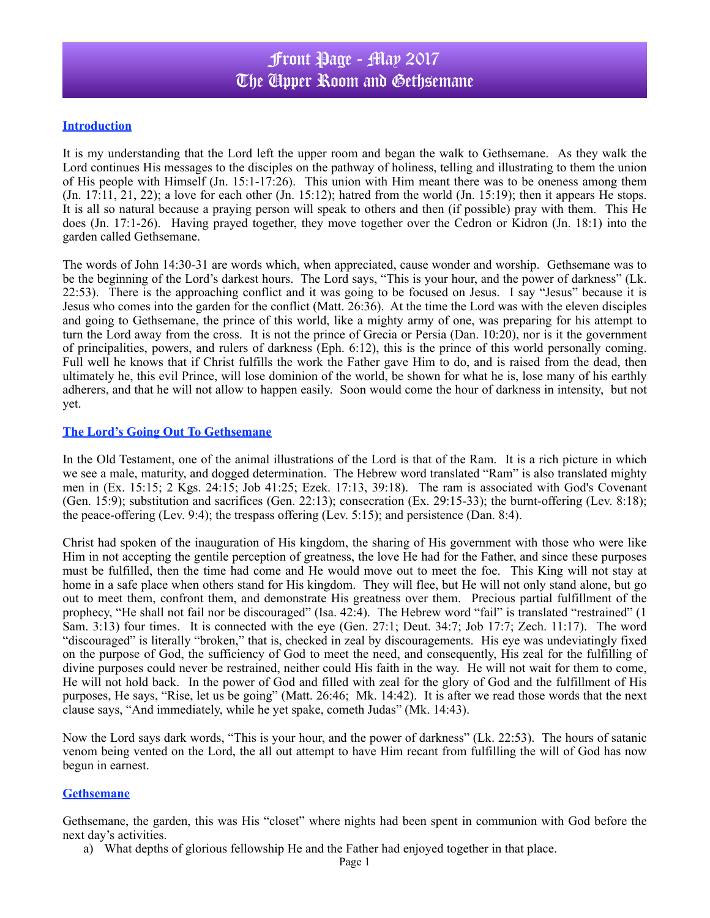## Front Page - May 2017 The Upper Room and Gethsemane

### **Introduction**

It is my understanding that the Lord left the upper room and began the walk to Gethsemane. As they walk the Lord continues His messages to the disciples on the pathway of holiness, telling and illustrating to them the union of His people with Himself (Jn. 15:1-17:26). This union with Him meant there was to be oneness among them  $($ Jn. 17:11,  $21$ ,  $22$ ); a love for each other  $($ Jn. 15:12); hatred from the world  $($ Jn. 15:19); then it appears He stops. It is all so natural because a praying person will speak to others and then (if possible) pray with them. This He does (Jn. 17:1-26). Having prayed together, they move together over the Cedron or Kidron (Jn. 18:1) into the garden called Gethsemane.

The words of John 14:30-31 are words which, when appreciated, cause wonder and worship. Gethsemane was to be the beginning of the Lord's darkest hours. The Lord says, "This is your hour, and the power of darkness" (Lk. 22:53). There is the approaching conflict and it was going to be focused on Jesus. I say "Jesus" because it is Jesus who comes into the garden for the conflict (Matt. 26:36). At the time the Lord was with the eleven disciples and going to Gethsemane, the prince of this world, like a mighty army of one, was preparing for his attempt to turn the Lord away from the cross. It is not the prince of Grecia or Persia (Dan. 10:20), nor is it the government of principalities, powers, and rulers of darkness (Eph. 6:12), this is the prince of this world personally coming. Full well he knows that if Christ fulfills the work the Father gave Him to do, and is raised from the dead, then ultimately he, this evil Prince, will lose dominion of the world, be shown for what he is, lose many of his earthly adherers, and that he will not allow to happen easily. Soon would come the hour of darkness in intensity, but not yet.

#### **The Lord's Going Out To Gethsemane**

In the Old Testament, one of the animal illustrations of the Lord is that of the Ram. It is a rich picture in which we see a male, maturity, and dogged determination. The Hebrew word translated "Ram" is also translated mighty men in (Ex. 15:15; 2 Kgs. 24:15; Job 41:25; Ezek. 17:13, 39:18). The ram is associated with God's Covenant (Gen. 15:9); substitution and sacrifices (Gen. 22:13); consecration (Ex. 29:15-33); the burnt-offering (Lev. 8:18); the peace-offering (Lev. 9:4); the trespass offering (Lev. 5:15); and persistence (Dan. 8:4).

Christ had spoken of the inauguration of His kingdom, the sharing of His government with those who were like Him in not accepting the gentile perception of greatness, the love He had for the Father, and since these purposes must be fulfilled, then the time had come and He would move out to meet the foe. This King will not stay at home in a safe place when others stand for His kingdom. They will flee, but He will not only stand alone, but go out to meet them, confront them, and demonstrate His greatness over them. Precious partial fulfillment of the prophecy, "He shall not fail nor be discouraged" (Isa. 42:4). The Hebrew word "fail" is translated "restrained" (1 Sam. 3:13) four times. It is connected with the eye (Gen. 27:1; Deut. 34:7; Job 17:7; Zech. 11:17). The word "discouraged" is literally "broken," that is, checked in zeal by discouragements. His eye was undeviatingly fixed on the purpose of God, the sufficiency of God to meet the need, and consequently, His zeal for the fulfilling of divine purposes could never be restrained, neither could His faith in the way. He will not wait for them to come, He will not hold back. In the power of God and filled with zeal for the glory of God and the fulfillment of His purposes, He says, "Rise, let us be going" (Matt. 26:46; Mk. 14:42). It is after we read those words that the next clause says, "And immediately, while he yet spake, cometh Judas" (Mk. 14:43).

Now the Lord says dark words, "This is your hour, and the power of darkness" (Lk. 22:53). The hours of satanic venom being vented on the Lord, the all out attempt to have Him recant from fulfilling the will of God has now begun in earnest.

#### **Gethsemane**

Gethsemane, the garden, this was His "closet" where nights had been spent in communion with God before the next day's activities.

a) What depths of glorious fellowship He and the Father had enjoyed together in that place.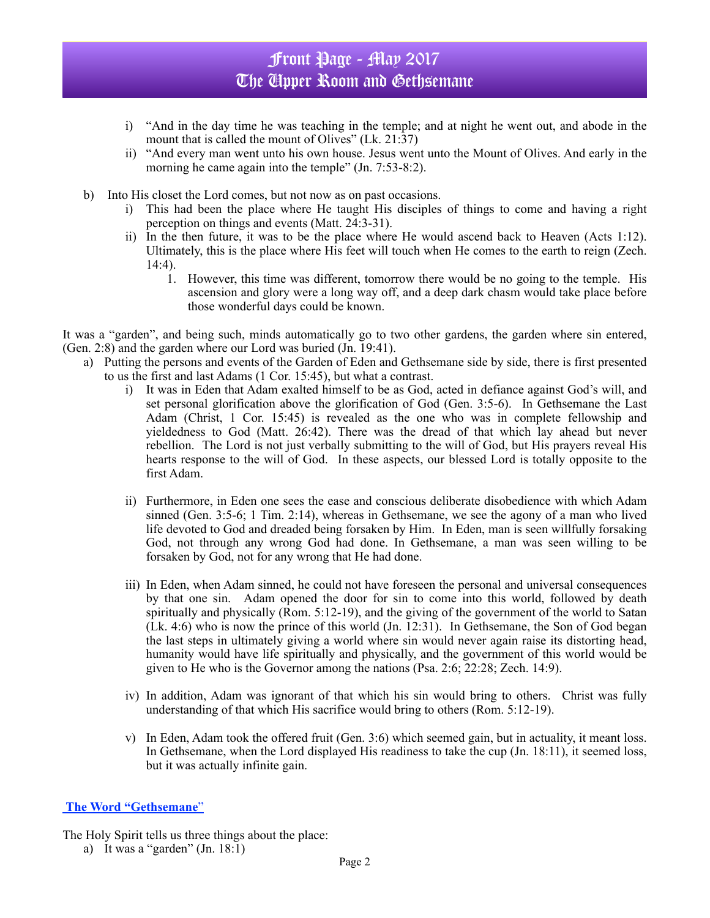## Front Page - May 2017 The Upper Room and Gethsemane

- i) "And in the day time he was teaching in the temple; and at night he went out, and abode in the mount that is called the mount of Olives" (Lk. 21:37)
- ii) "And every man went unto his own house. Jesus went unto the Mount of Olives. And early in the morning he came again into the temple" (Jn. 7:53-8:2).
- b) Into His closet the Lord comes, but not now as on past occasions.
	- i) This had been the place where He taught His disciples of things to come and having a right perception on things and events (Matt. 24:3-31).
	- ii) In the then future, it was to be the place where He would ascend back to Heaven (Acts 1:12). Ultimately, this is the place where His feet will touch when He comes to the earth to reign (Zech.  $14:4$ ).
		- 1. However, this time was different, tomorrow there would be no going to the temple. His ascension and glory were a long way off, and a deep dark chasm would take place before those wonderful days could be known.

It was a "garden", and being such, minds automatically go to two other gardens, the garden where sin entered, (Gen. 2:8) and the garden where our Lord was buried (Jn. 19:41).

- a) Putting the persons and events of the Garden of Eden and Gethsemane side by side, there is first presented to us the first and last Adams (1 Cor. 15:45), but what a contrast.
	- i) It was in Eden that Adam exalted himself to be as God, acted in defiance against God's will, and set personal glorification above the glorification of God (Gen. 3:5-6). In Gethsemane the Last Adam (Christ, 1 Cor. 15:45) is revealed as the one who was in complete fellowship and yieldedness to God (Matt. 26:42). There was the dread of that which lay ahead but never rebellion. The Lord is not just verbally submitting to the will of God, but His prayers reveal His hearts response to the will of God. In these aspects, our blessed Lord is totally opposite to the first Adam.
	- ii) Furthermore, in Eden one sees the ease and conscious deliberate disobedience with which Adam sinned (Gen. 3:5-6; 1 Tim. 2:14), whereas in Gethsemane, we see the agony of a man who lived life devoted to God and dreaded being forsaken by Him. In Eden, man is seen willfully forsaking God, not through any wrong God had done. In Gethsemane, a man was seen willing to be forsaken by God, not for any wrong that He had done.
	- iii) In Eden, when Adam sinned, he could not have foreseen the personal and universal consequences by that one sin. Adam opened the door for sin to come into this world, followed by death spiritually and physically (Rom. 5:12-19), and the giving of the government of the world to Satan  $(Lk. 4:6)$  who is now the prince of this world  $(Jn. 12:31)$ . In Gethsemane, the Son of God began the last steps in ultimately giving a world where sin would never again raise its distorting head, humanity would have life spiritually and physically, and the government of this world would be given to He who is the Governor among the nations (Psa. 2:6; 22:28; Zech. 14:9).
	- iv) In addition, Adam was ignorant of that which his sin would bring to others. Christ was fully understanding of that which His sacrifice would bring to others (Rom. 5:12-19).
	- v) In Eden, Adam took the offered fruit (Gen. 3:6) which seemed gain, but in actuality, it meant loss. In Gethsemane, when the Lord displayed His readiness to take the cup (Jn. 18:11), it seemed loss, but it was actually infinite gain.

### **The Word "Gethsemane**"

The Holy Spirit tells us three things about the place:

a) It was a "garden"  $(In. 18:1)$